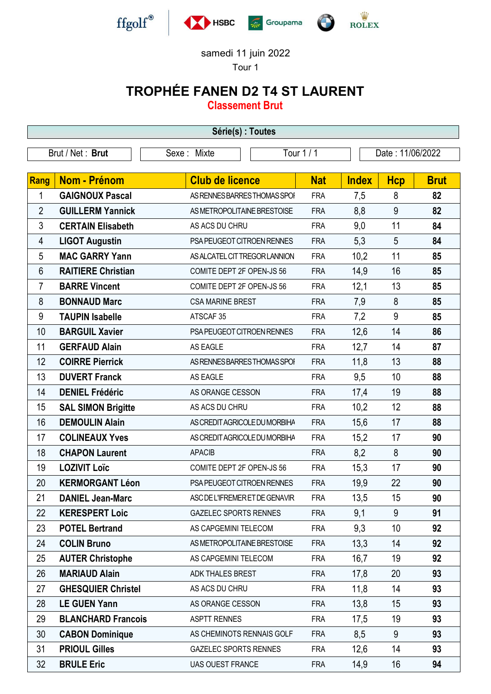

samedi 11 juin 2022

## Tour 1

## TROPHÉE FANEN D2 T4 ST LAURENT

Classement Brut

| Série(s) : Toutes |                           |                                |            |              |                  |             |  |
|-------------------|---------------------------|--------------------------------|------------|--------------|------------------|-------------|--|
|                   | Brut / Net: Brut          | Tour 1 / 1<br>Sexe: Mixte      |            |              | Date: 11/06/2022 |             |  |
|                   |                           |                                |            |              |                  |             |  |
| Rang              | <b>Nom - Prénom</b>       | <b>Club de licence</b>         | <b>Nat</b> | <b>Index</b> | <b>Hcp</b>       | <b>Brut</b> |  |
| 1                 | <b>GAIGNOUX Pascal</b>    | AS RENNES BARRES THOMAS SPOI   | <b>FRA</b> | 7,5          | 8                | 82          |  |
| $\overline{2}$    | <b>GUILLERM Yannick</b>   | AS METROPOLITAINE BRESTOISE    | <b>FRA</b> | 8,8          | 9                | 82          |  |
| 3                 | <b>CERTAIN Elisabeth</b>  | AS ACS DU CHRU                 | <b>FRA</b> | 9,0          | 11               | 84          |  |
| 4                 | <b>LIGOT Augustin</b>     | PSA PEUGEOT CITROEN RENNES     | <b>FRA</b> | 5,3          | 5                | 84          |  |
| 5                 | <b>MAC GARRY Yann</b>     | AS ALCATEL CIT TREGOR LANNION  | <b>FRA</b> | 10,2         | 11               | 85          |  |
| 6                 | <b>RAITIERE Christian</b> | COMITE DEPT 2F OPEN-JS 56      | <b>FRA</b> | 14,9         | 16               | 85          |  |
| 7                 | <b>BARRE Vincent</b>      | COMITE DEPT 2F OPEN-JS 56      | <b>FRA</b> | 12,1         | 13               | 85          |  |
| 8                 | <b>BONNAUD Marc</b>       | <b>CSA MARINE BREST</b>        | <b>FRA</b> | 7,9          | 8                | 85          |  |
| 9                 | <b>TAUPIN Isabelle</b>    | ATSCAF 35                      | <b>FRA</b> | 7,2          | 9                | 85          |  |
| 10                | <b>BARGUIL Xavier</b>     | PSA PEUGEOT CITROEN RENNES     | <b>FRA</b> | 12,6         | 14               | 86          |  |
| 11                | <b>GERFAUD Alain</b>      | AS EAGLE                       | <b>FRA</b> | 12,7         | 14               | 87          |  |
| 12                | <b>COIRRE Pierrick</b>    | AS RENNES BARRES THOMAS SPOI   | <b>FRA</b> | 11,8         | 13               | 88          |  |
| 13                | <b>DUVERT Franck</b>      | AS EAGLE                       | <b>FRA</b> | 9,5          | 10               | 88          |  |
| 14                | <b>DENIEL Frédéric</b>    | AS ORANGE CESSON               | <b>FRA</b> | 17,4         | 19               | 88          |  |
| 15                | <b>SAL SIMON Brigitte</b> | AS ACS DU CHRU                 | <b>FRA</b> | 10,2         | 12               | 88          |  |
| 16                | <b>DEMOULIN Alain</b>     | AS CREDIT AGRICOLE DU MORBIHA  | <b>FRA</b> | 15,6         | 17               | 88          |  |
| 17                | <b>COLINEAUX Yves</b>     | AS CREDIT AGRICOLE DU MORBIHA  | <b>FRA</b> | 15,2         | 17               | 90          |  |
| 18                | <b>CHAPON Laurent</b>     | <b>APACIB</b>                  | <b>FRA</b> | 8,2          | 8                | 90          |  |
| 19                | <b>LOZIVIT Loïc</b>       | COMITE DEPT 2F OPEN-JS 56      | <b>FRA</b> | 15,3         | 17               | 90          |  |
| 20                | <b>KERMORGANT Léon</b>    | PSA PEUGEOT CITROEN RENNES     | <b>FRA</b> | 19,9         | 22               | 90          |  |
| 21                | <b>DANIEL Jean-Marc</b>   | ASC DE L'IFREMER ET DE GENAVIR | <b>FRA</b> | 13,5         | 15               | 90          |  |
| 22                | <b>KERESPERT Loic</b>     | <b>GAZELEC SPORTS RENNES</b>   | <b>FRA</b> | 9,1          | 9                | 91          |  |
| 23                | <b>POTEL Bertrand</b>     | AS CAPGEMINI TELECOM           | <b>FRA</b> | 9,3          | 10               | 92          |  |
| 24                | <b>COLIN Bruno</b>        | AS METROPOLITAINE BRESTOISE    | <b>FRA</b> | 13,3         | 14               | 92          |  |
| 25                | <b>AUTER Christophe</b>   | AS CAPGEMINI TELECOM           | <b>FRA</b> | 16,7         | 19               | 92          |  |
| 26                | <b>MARIAUD Alain</b>      | ADK THALES BREST               | <b>FRA</b> | 17,8         | 20               | 93          |  |
| 27                | <b>GHESQUIER Christel</b> | AS ACS DU CHRU                 | <b>FRA</b> | 11,8         | 14               | 93          |  |
| 28                | <b>LE GUEN Yann</b>       | AS ORANGE CESSON               | <b>FRA</b> | 13,8         | 15               | 93          |  |
| 29                | <b>BLANCHARD Francois</b> | <b>ASPTT RENNES</b>            | <b>FRA</b> | 17,5         | 19               | 93          |  |
| 30                | <b>CABON Dominique</b>    | AS CHEMINOTS RENNAIS GOLF      | <b>FRA</b> | 8,5          | 9                | 93          |  |
| 31                | <b>PRIOUL Gilles</b>      | <b>GAZELEC SPORTS RENNES</b>   | <b>FRA</b> | 12,6         | 14               | 93          |  |
| 32                | <b>BRULE Eric</b>         | <b>UAS OUEST FRANCE</b>        | <b>FRA</b> | 14,9         | 16               | 94          |  |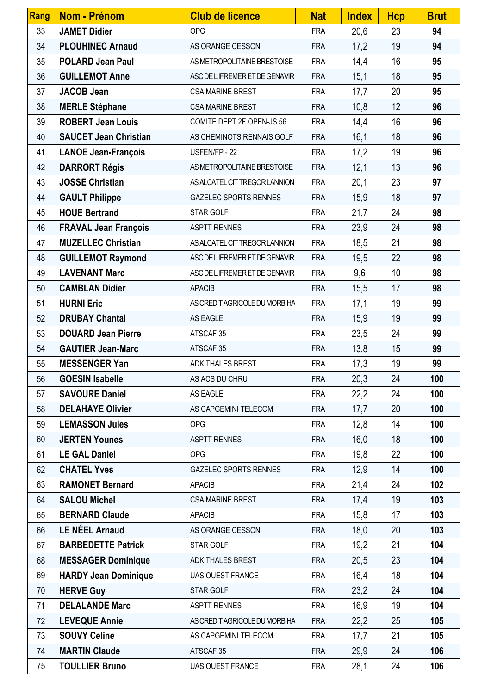| Rang | <b>Nom - Prénom</b>          | <b>Club de licence</b>         | <b>Nat</b> | <b>Index</b> | <b>Hcp</b> | <b>Brut</b> |
|------|------------------------------|--------------------------------|------------|--------------|------------|-------------|
| 33   | <b>JAMET Didier</b>          | <b>OPG</b>                     | <b>FRA</b> | 20,6         | 23         | 94          |
| 34   | <b>PLOUHINEC Arnaud</b>      | AS ORANGE CESSON               | <b>FRA</b> | 17,2         | 19         | 94          |
| 35   | <b>POLARD Jean Paul</b>      | AS METROPOLITAINE BRESTOISE    | <b>FRA</b> | 14,4         | 16         | 95          |
| 36   | <b>GUILLEMOT Anne</b>        | ASC DE L'IFREMER ET DE GENAVIR | <b>FRA</b> | 15,1         | 18         | 95          |
| 37   | <b>JACOB Jean</b>            | <b>CSA MARINE BREST</b>        | <b>FRA</b> | 17,7         | 20         | 95          |
| 38   | <b>MERLE Stéphane</b>        | <b>CSA MARINE BREST</b>        | <b>FRA</b> | 10,8         | 12         | 96          |
| 39   | <b>ROBERT Jean Louis</b>     | COMITE DEPT 2F OPEN-JS 56      | <b>FRA</b> | 14,4         | 16         | 96          |
| 40   | <b>SAUCET Jean Christian</b> | AS CHEMINOTS RENNAIS GOLF      | <b>FRA</b> | 16,1         | 18         | 96          |
| 41   | <b>LANOE Jean-François</b>   | USFEN/FP - 22                  | <b>FRA</b> | 17,2         | 19         | 96          |
| 42   | <b>DARRORT Régis</b>         | AS METROPOLITAINE BRESTOISE    | <b>FRA</b> | 12,1         | 13         | 96          |
| 43   | <b>JOSSE Christian</b>       | AS ALCATEL CIT TREGOR LANNION  | <b>FRA</b> | 20,1         | 23         | 97          |
| 44   | <b>GAULT Philippe</b>        | <b>GAZELEC SPORTS RENNES</b>   | <b>FRA</b> | 15,9         | 18         | 97          |
| 45   | <b>HOUE Bertrand</b>         | STAR GOLF                      | <b>FRA</b> | 21,7         | 24         | 98          |
| 46   | <b>FRAVAL Jean François</b>  | <b>ASPTT RENNES</b>            | <b>FRA</b> | 23,9         | 24         | 98          |
| 47   | <b>MUZELLEC Christian</b>    | AS ALCATEL CIT TREGOR LANNION  | <b>FRA</b> | 18,5         | 21         | 98          |
| 48   | <b>GUILLEMOT Raymond</b>     | ASC DE L'IFREMER ET DE GENAVIR | <b>FRA</b> | 19,5         | 22         | 98          |
| 49   | <b>LAVENANT Marc</b>         | ASC DE L'IFREMER ET DE GENAVIR | <b>FRA</b> | 9,6          | 10         | 98          |
| 50   | <b>CAMBLAN Didier</b>        | <b>APACIB</b>                  | <b>FRA</b> | 15,5         | 17         | 98          |
| 51   | <b>HURNI Eric</b>            | AS CREDIT AGRICOLE DU MORBIHA  | <b>FRA</b> | 17,1         | 19         | 99          |
| 52   | <b>DRUBAY Chantal</b>        | AS EAGLE                       | <b>FRA</b> | 15,9         | 19         | 99          |
| 53   | <b>DOUARD Jean Pierre</b>    | ATSCAF 35                      | <b>FRA</b> | 23,5         | 24         | 99          |
| 54   | <b>GAUTIER Jean-Marc</b>     | ATSCAF 35                      | <b>FRA</b> | 13,8         | 15         | 99          |
| 55   | <b>MESSENGER Yan</b>         | ADK THALES BREST               | <b>FRA</b> | 17,3         | 19         | 99          |
| 56   | <b>GOESIN Isabelle</b>       | AS ACS DU CHRU                 | <b>FRA</b> | 20,3         | 24         | 100         |
| 57   | <b>SAVOURE Daniel</b>        | AS EAGLE                       | <b>FRA</b> | 22,2         | 24         | 100         |
| 58   | <b>DELAHAYE Olivier</b>      | AS CAPGEMINI TELECOM           | <b>FRA</b> | 17,7         | 20         | 100         |
| 59   | <b>LEMASSON Jules</b>        | <b>OPG</b>                     | <b>FRA</b> | 12,8         | 14         | 100         |
| 60   | <b>JERTEN Younes</b>         | <b>ASPTT RENNES</b>            | <b>FRA</b> | 16,0         | 18         | 100         |
| 61   | <b>LE GAL Daniel</b>         | <b>OPG</b>                     | <b>FRA</b> | 19,8         | 22         | 100         |
| 62   | <b>CHATEL Yves</b>           | <b>GAZELEC SPORTS RENNES</b>   | <b>FRA</b> | 12,9         | 14         | 100         |
| 63   | <b>RAMONET Bernard</b>       | <b>APACIB</b>                  | <b>FRA</b> | 21,4         | 24         | 102         |
| 64   | <b>SALOU Michel</b>          | <b>CSA MARINE BREST</b>        | <b>FRA</b> | 17,4         | 19         | 103         |
| 65   | <b>BERNARD Claude</b>        | <b>APACIB</b>                  | <b>FRA</b> | 15,8         | 17         | 103         |
| 66   | <b>LE NÉEL Arnaud</b>        | AS ORANGE CESSON               | <b>FRA</b> | 18,0         | 20         | 103         |
| 67   | <b>BARBEDETTE Patrick</b>    | STAR GOLF                      | <b>FRA</b> | 19,2         | 21         | 104         |
| 68   | <b>MESSAGER Dominique</b>    | ADK THALES BREST               | <b>FRA</b> | 20,5         | 23         | 104         |
| 69   | <b>HARDY Jean Dominique</b>  | <b>UAS OUEST FRANCE</b>        | <b>FRA</b> | 16,4         | 18         | 104         |
| 70   | <b>HERVE Guy</b>             | STAR GOLF                      | <b>FRA</b> | 23,2         | 24         | 104         |
| 71   | <b>DELALANDE Marc</b>        | <b>ASPTT RENNES</b>            | <b>FRA</b> | 16,9         | 19         | 104         |
| 72   | <b>LEVEQUE Annie</b>         | AS CREDIT AGRICOLE DU MORBIHA  | <b>FRA</b> | 22,2         | 25         | 105         |
| 73   | <b>SOUVY Celine</b>          | AS CAPGEMINI TELECOM           | <b>FRA</b> | 17,7         | 21         | 105         |
| 74   | <b>MARTIN Claude</b>         | ATSCAF 35                      | <b>FRA</b> | 29,9         | 24         | 106         |
| 75   | <b>TOULLIER Bruno</b>        | <b>UAS OUEST FRANCE</b>        | <b>FRA</b> | 28,1         | 24         | 106         |